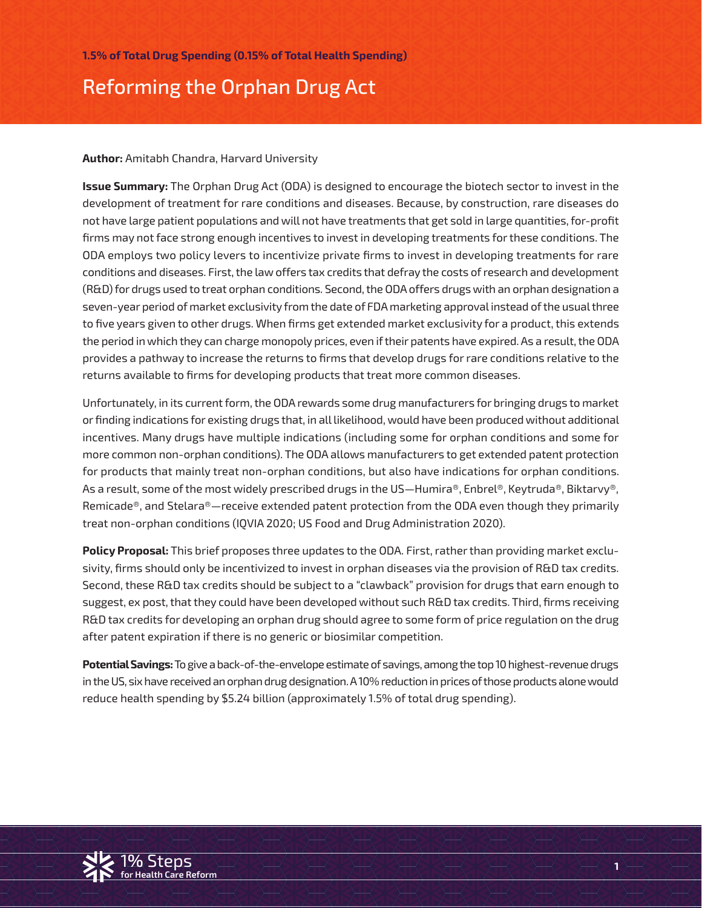# Reforming the Orphan Drug Act

#### **Author:** Amitabh Chandra, Harvard University

**Issue Summary:** The Orphan Drug Act (ODA) is designed to encourage the biotech sector to invest in the development of treatment for rare conditions and diseases. Because, by construction, rare diseases do not have large patient populations and will not have treatments that get sold in large quantities, for-profit firms may not face strong enough incentives to invest in developing treatments for these conditions. The ODA employs two policy levers to incentivize private firms to invest in developing treatments for rare conditions and diseases. First, the law offers tax credits that defray the costs of research and development (R&D) for drugs used to treat orphan conditions. Second, the ODA offers drugs with an orphan designation a seven-year period of market exclusivity from the date of FDA marketing approval instead of the usual three to five years given to other drugs. When firms get extended market exclusivity for a product, this extends the period in which they can charge monopoly prices, even if their patents have expired. As a result, the ODA provides a pathway to increase the returns to firms that develop drugs for rare conditions relative to the returns available to firms for developing products that treat more common diseases.

Unfortunately, in its current form, the ODA rewards some drug manufacturers for bringing drugs to market or finding indications for existing drugs that, in all likelihood, would have been produced without additional incentives. Many drugs have multiple indications (including some for orphan conditions and some for more common non-orphan conditions). The ODA allows manufacturers to get extended patent protection for products that mainly treat non-orphan conditions, but also have indications for orphan conditions. As a result, some of the most widely prescribed drugs in the US—Humira®, Enbrel®, Keytruda®, Biktarvy®, Remicade®, and Stelara®—receive extended patent protection from the ODA even though they primarily treat non-orphan conditions (IQVIA 2020; US Food and Drug Administration 2020).

**Policy Proposal:** This brief proposes three updates to the ODA. First, rather than providing market exclusivity, firms should only be incentivized to invest in orphan diseases via the provision of R&D tax credits. Second, these R&D tax credits should be subject to a "clawback" provision for drugs that earn enough to suggest, ex post, that they could have been developed without such R&D tax credits. Third, firms receiving R&D tax credits for developing an orphan drug should agree to some form of price regulation on the drug after patent expiration if there is no generic or biosimilar competition.

**Potential Savings:** To give a back-of-the-envelope estimate of savings, among the top 10 highest-revenue drugs in the US, six have received an orphan drug designation. A 10% reduction in prices of those products alone would reduce health spending by \$5.24 billion (approximately 1.5% of total drug spending).

**1**

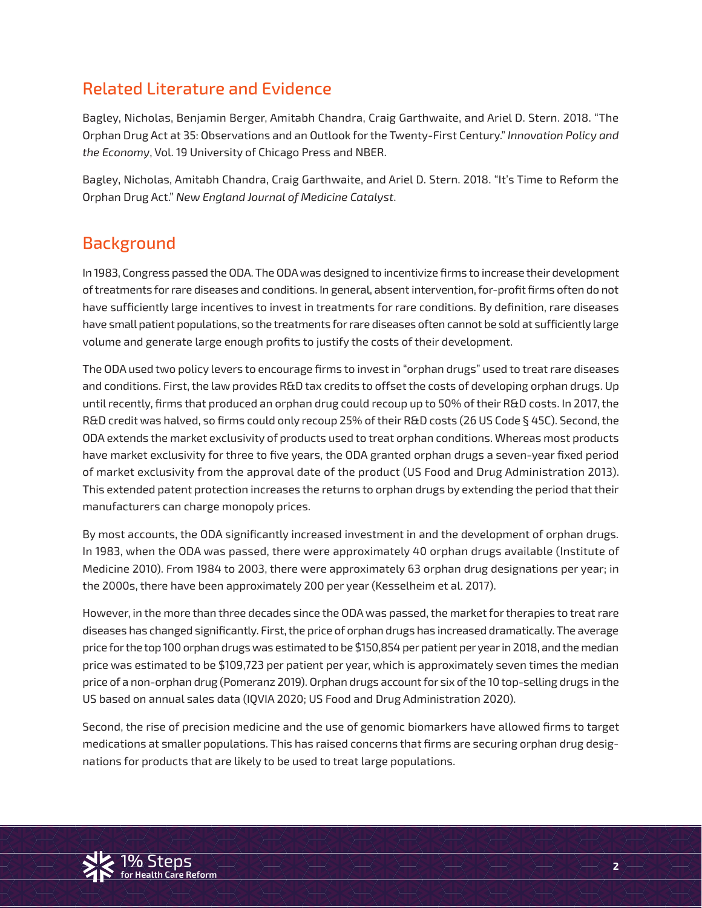# Related Literature and Evidence

Bagley, Nicholas, Benjamin Berger, Amitabh Chandra, Craig Garthwaite, and Ariel D. Stern. 2018. "The Orphan Drug Act at 35: Observations and an Outlook for the Twenty-First Century." *Innovation Policy and the Economy*, Vol. 19 University of Chicago Press and NBER.

Bagley, Nicholas, Amitabh Chandra, Craig Garthwaite, and Ariel D. Stern. 2018. "It's Time to Reform the Orphan Drug Act." *New England Journal of Medicine Catalyst*.

# **Background**

In 1983, Congress passed the ODA. The ODA was designed to incentivize firms to increase their development of treatments for rare diseases and conditions. In general, absent intervention, for-profit firms often do not have sufficiently large incentives to invest in treatments for rare conditions. By definition, rare diseases have small patient populations, so the treatments for rare diseases often cannot be sold at sufficiently large volume and generate large enough profits to justify the costs of their development.

The ODA used two policy levers to encourage firms to invest in "orphan drugs" used to treat rare diseases and conditions. First, the law provides R&D tax credits to offset the costs of developing orphan drugs. Up until recently, firms that produced an orphan drug could recoup up to 50% of their R&D costs. In 2017, the R&D credit was halved, so firms could only recoup 25% of their R&D costs (26 US Code § 45C). Second, the ODA extends the market exclusivity of products used to treat orphan conditions. Whereas most products have market exclusivity for three to five years, the ODA granted orphan drugs a seven-year fixed period of market exclusivity from the approval date of the product (US Food and Drug Administration 2013). This extended patent protection increases the returns to orphan drugs by extending the period that their manufacturers can charge monopoly prices.

By most accounts, the ODA significantly increased investment in and the development of orphan drugs. In 1983, when the ODA was passed, there were approximately 40 orphan drugs available (Institute of Medicine 2010). From 1984 to 2003, there were approximately 63 orphan drug designations per year; in the 2000s, there have been approximately 200 per year (Kesselheim et al. 2017).

However, in the more than three decades since the ODA was passed, the market for therapies to treat rare diseases has changed significantly. First, the price of orphan drugs has increased dramatically. The average price for the top 100 orphan drugs was estimated to be \$150,854 per patient per year in 2018, and the median price was estimated to be \$109,723 per patient per year, which is approximately seven times the median price of a non-orphan drug (Pomeranz 2019). Orphan drugs account for six of the 10 top-selling drugs in the US based on annual sales data (IQVIA 2020; US Food and Drug Administration 2020).

becond, the rise or precision medicine and the use or genomic biomarkers have attowed minis to target<br>medications at smaller populations. This has raised concerns that firms are securing orphan drug desig**for Health Care Reform** nations for products that are likely to be used to treat large populations.Second, the rise of precision medicine and the use of genomic biomarkers have allowed firms to target

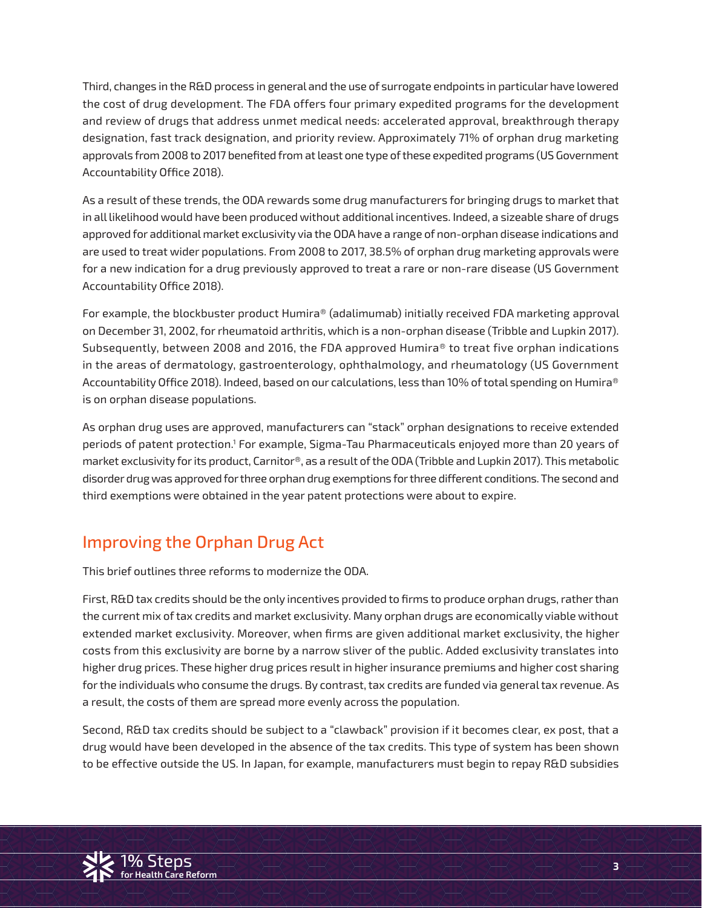Third, changes in the R&D process in general and the use of surrogate endpoints in particular have lowered the cost of drug development. The FDA offers four primary expedited programs for the development and review of drugs that address unmet medical needs: accelerated approval, breakthrough therapy designation, fast track designation, and priority review. Approximately 71% of orphan drug marketing approvals from 2008 to 2017 benefited from at least one type of these expedited programs (US Government Accountability Office 2018).

As a result of these trends, the ODA rewards some drug manufacturers for bringing drugs to market that in all likelihood would have been produced without additional incentives. Indeed, a sizeable share of drugs approved for additional market exclusivity via the ODA have a range of non-orphan disease indications and are used to treat wider populations. From 2008 to 2017, 38.5% of orphan drug marketing approvals were for a new indication for a drug previously approved to treat a rare or non-rare disease (US Government Accountability Office 2018).

For example, the blockbuster product Humira® (adalimumab) initially received FDA marketing approval on December 31, 2002, for rheumatoid arthritis, which is a non-orphan disease (Tribble and Lupkin 2017). Subsequently, between 2008 and 2016, the FDA approved Humira® to treat five orphan indications in the areas of dermatology, gastroenterology, ophthalmology, and rheumatology (US Government Accountability Office 2018). Indeed, based on our calculations, less than 10% of total spending on Humira® is on orphan disease populations.

As orphan drug uses are approved, manufacturers can "stack" orphan designations to receive extended periods of patent protection.<sup>1</sup> For example, Sigma-Tau Pharmaceuticals enjoyed more than 20 years of market exclusivity for its product, Carnitor®, as a result of the ODA (Tribble and Lupkin 2017). This metabolic disorder drug was approved for three orphan drug exemptions for three different conditions. The second and third exemptions were obtained in the year patent protections were about to expire.

# Improving the Orphan Drug Act

This brief outlines three reforms to modernize the ODA.

First, R&D tax credits should be the only incentives provided to firms to produce orphan drugs, rather than the current mix of tax credits and market exclusivity. Many orphan drugs are economically viable without extended market exclusivity. Moreover, when firms are given additional market exclusivity, the higher costs from this exclusivity are borne by a narrow sliver of the public. Added exclusivity translates into higher drug prices. These higher drug prices result in higher insurance premiums and higher cost sharing for the individuals who consume the drugs. By contrast, tax credits are funded via general tax revenue. As a result, the costs of them are spread more evenly across the population.

Second, R&D tax credits should be subject to a "clawback" provision if it becomes clear, ex post, that a<br>drug would have been developed in the absence of the tax credits. This type of system has been shown to be effective outside the US. In Japan, for example, manufacturers must begin to repay R&D subsidies Second, R&D tax credits should be subject to a "clawback" provision if it becomes clear, ex post, that a

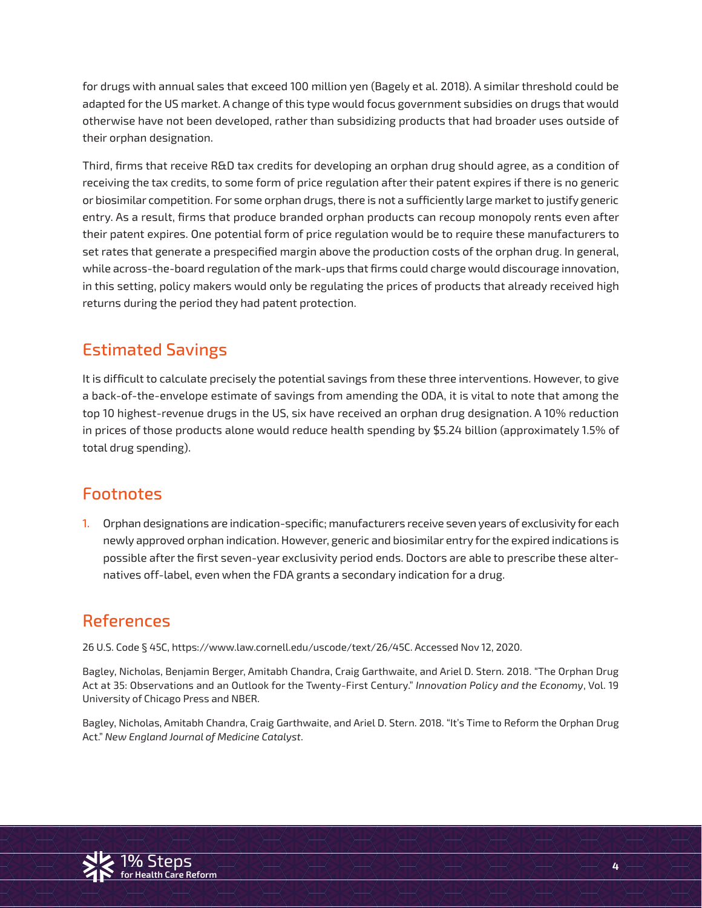for drugs with annual sales that exceed 100 million yen (Bagely et al. 2018). A similar threshold could be adapted for the US market. A change of this type would focus government subsidies on drugs that would otherwise have not been developed, rather than subsidizing products that had broader uses outside of their orphan designation.

Third, firms that receive R&D tax credits for developing an orphan drug should agree, as a condition of receiving the tax credits, to some form of price regulation after their patent expires if there is no generic or biosimilar competition. For some orphan drugs, there is not a sufficiently large market to justify generic entry. As a result, firms that produce branded orphan products can recoup monopoly rents even after their patent expires. One potential form of price regulation would be to require these manufacturers to set rates that generate a prespecified margin above the production costs of the orphan drug. In general, while across-the-board regulation of the mark-ups that firms could charge would discourage innovation, in this setting, policy makers would only be regulating the prices of products that already received high returns during the period they had patent protection.

## Estimated Savings

It is difficult to calculate precisely the potential savings from these three interventions. However, to give a back-of-the-envelope estimate of savings from amending the ODA, it is vital to note that among the top 10 highest-revenue drugs in the US, six have received an orphan drug designation. A 10% reduction in prices of those products alone would reduce health spending by \$5.24 billion (approximately 1.5% of total drug spending).

#### Footnotes

1. Orphan designations are indication-specific; manufacturers receive seven years of exclusivity for each newly approved orphan indication. However, generic and biosimilar entry for the expired indications is possible after the first seven-year exclusivity period ends. Doctors are able to prescribe these alternatives off-label, even when the FDA grants a secondary indication for a drug.

## References

26 U.S. Code § 45C, https://www.law.cornell.edu/uscode/text/26/45C. Accessed Nov 12, 2020.

Bagley, Nicholas, Benjamin Berger, Amitabh Chandra, Craig Garthwaite, and Ariel D. Stern. 2018. "The Orphan Drug Act at 35: Observations and an Outlook for the Twenty-First Century." *Innovation Policy and the Economy*, Vol. 19 University of Chicago Press and NBER.

Act." New England Journal of Medicine Catalyst.<br>Act." New England Journal of Medicine Catalyst. Bagley, Nicholas, Amitabh Chandra, Craig Garthwaite, and Ariel D. Stern. 2018. "It's Time to Reform the Orphan Drug